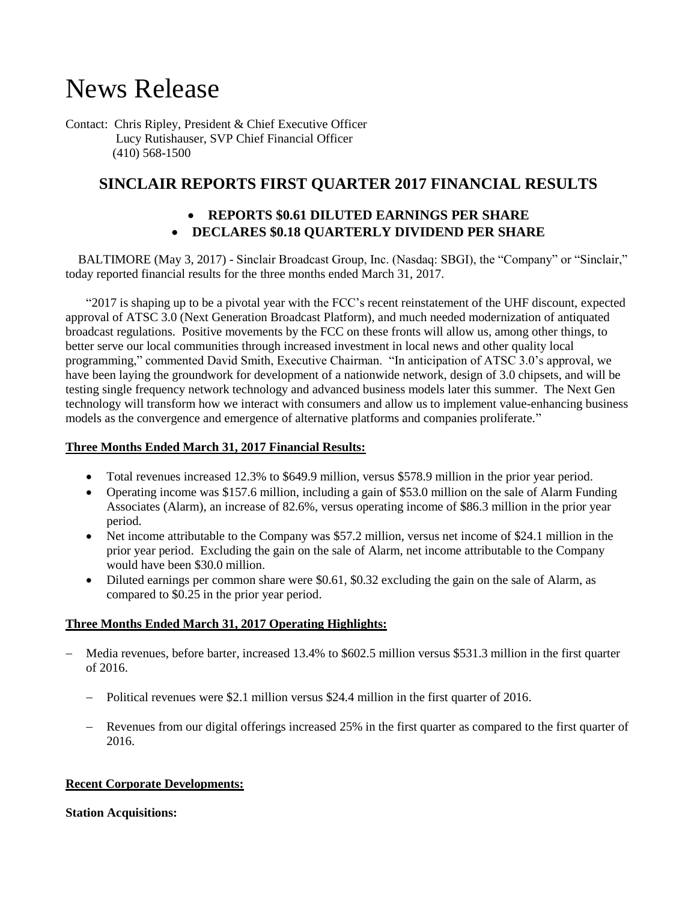# News Release

Contact: Chris Ripley, President & Chief Executive Officer Lucy Rutishauser, SVP Chief Financial Officer (410) 568-1500

## **SINCLAIR REPORTS FIRST QUARTER 2017 FINANCIAL RESULTS**

## **REPORTS \$0.61 DILUTED EARNINGS PER SHARE**

## **DECLARES \$0.18 QUARTERLY DIVIDEND PER SHARE**

 BALTIMORE (May 3, 2017) - Sinclair Broadcast Group, Inc. (Nasdaq: SBGI), the "Company" or "Sinclair," today reported financial results for the three months ended March 31, 2017.

"2017 is shaping up to be a pivotal year with the FCC's recent reinstatement of the UHF discount, expected approval of ATSC 3.0 (Next Generation Broadcast Platform), and much needed modernization of antiquated broadcast regulations. Positive movements by the FCC on these fronts will allow us, among other things, to better serve our local communities through increased investment in local news and other quality local programming," commented David Smith, Executive Chairman. "In anticipation of ATSC 3.0's approval, we have been laying the groundwork for development of a nationwide network, design of 3.0 chipsets, and will be testing single frequency network technology and advanced business models later this summer. The Next Gen technology will transform how we interact with consumers and allow us to implement value-enhancing business models as the convergence and emergence of alternative platforms and companies proliferate."

## **Three Months Ended March 31, 2017 Financial Results:**

- Total revenues increased 12.3% to \$649.9 million, versus \$578.9 million in the prior year period.
- Operating income was \$157.6 million, including a gain of \$53.0 million on the sale of Alarm Funding Associates (Alarm), an increase of 82.6%, versus operating income of \$86.3 million in the prior year period.
- Net income attributable to the Company was \$57.2 million, versus net income of \$24.1 million in the prior year period. Excluding the gain on the sale of Alarm, net income attributable to the Company would have been \$30.0 million.
- Diluted earnings per common share were \$0.61, \$0.32 excluding the gain on the sale of Alarm, as compared to \$0.25 in the prior year period.

## **Three Months Ended March 31, 2017 Operating Highlights:**

- Media revenues, before barter, increased 13.4% to \$602.5 million versus \$531.3 million in the first quarter of 2016.
	- Political revenues were \$2.1 million versus \$24.4 million in the first quarter of 2016.
	- Revenues from our digital offerings increased 25% in the first quarter as compared to the first quarter of 2016.

#### **Recent Corporate Developments:**

#### **Station Acquisitions:**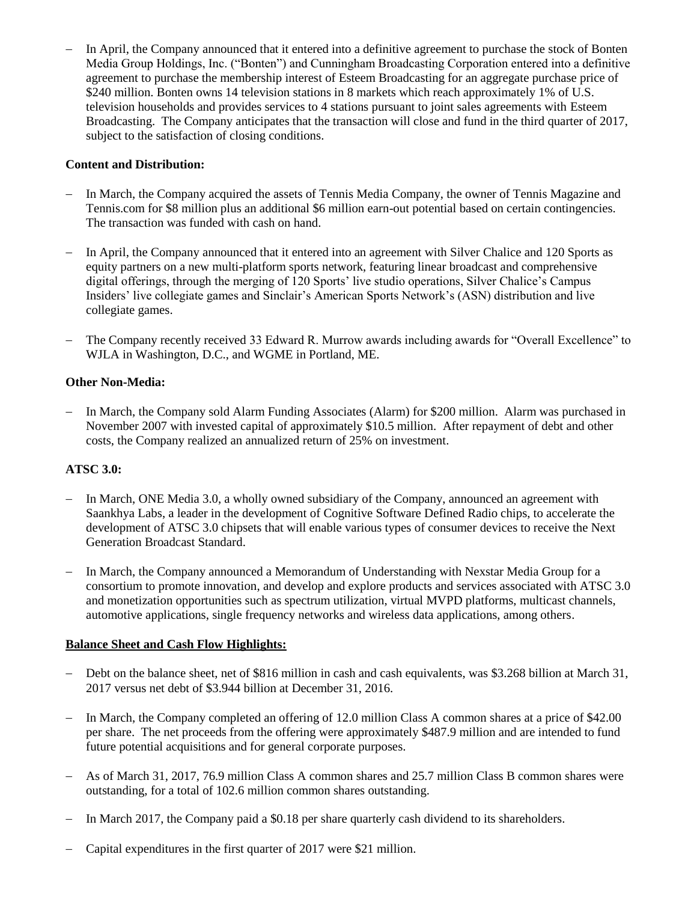In April, the Company announced that it entered into a definitive agreement to purchase the stock of Bonten Media Group Holdings, Inc. ("Bonten") and Cunningham Broadcasting Corporation entered into a definitive agreement to purchase the membership interest of Esteem Broadcasting for an aggregate purchase price of \$240 million. Bonten owns 14 television stations in 8 markets which reach approximately 1% of U.S. television households and provides services to 4 stations pursuant to joint sales agreements with Esteem Broadcasting. The Company anticipates that the transaction will close and fund in the third quarter of 2017, subject to the satisfaction of closing conditions.

## **Content and Distribution:**

- In March, the Company acquired the assets of Tennis Media Company, the owner of Tennis Magazine and Tennis.com for \$8 million plus an additional \$6 million earn-out potential based on certain contingencies. The transaction was funded with cash on hand.
- In April, the Company announced that it entered into an agreement with Silver Chalice and 120 Sports as equity partners on a new multi-platform sports network, featuring linear broadcast and comprehensive digital offerings, through the merging of 120 Sports' live studio operations, Silver Chalice's Campus Insiders' live collegiate games and Sinclair's American Sports Network's (ASN) distribution and live collegiate games.
- The Company recently received 33 Edward R. Murrow awards including awards for "Overall Excellence" to WJLA in Washington, D.C., and WGME in Portland, ME.

#### **Other Non-Media:**

- In March, the Company sold Alarm Funding Associates (Alarm) for \$200 million. Alarm was purchased in November 2007 with invested capital of approximately \$10.5 million. After repayment of debt and other costs, the Company realized an annualized return of 25% on investment.

#### **ATSC 3.0:**

- In March, ONE Media 3.0, a wholly owned subsidiary of the Company, announced an agreement with Saankhya Labs, a leader in the development of Cognitive Software Defined Radio chips, to accelerate the development of ATSC 3.0 chipsets that will enable various types of consumer devices to receive the Next Generation Broadcast Standard.
- In March, the Company announced a Memorandum of Understanding with Nexstar Media Group for a consortium to promote innovation, and develop and explore products and services associated with ATSC 3.0 and monetization opportunities such as spectrum utilization, virtual MVPD platforms, multicast channels, automotive applications, single frequency networks and wireless data applications, among others.

#### **Balance Sheet and Cash Flow Highlights:**

- Debt on the balance sheet, net of \$816 million in cash and cash equivalents, was \$3.268 billion at March 31, 2017 versus net debt of \$3.944 billion at December 31, 2016.
- In March, the Company completed an offering of 12.0 million Class A common shares at a price of \$42.00 per share. The net proceeds from the offering were approximately \$487.9 million and are intended to fund future potential acquisitions and for general corporate purposes.
- As of March 31, 2017, 76.9 million Class A common shares and 25.7 million Class B common shares were outstanding, for a total of 102.6 million common shares outstanding.
- In March 2017, the Company paid a \$0.18 per share quarterly cash dividend to its shareholders.
- Capital expenditures in the first quarter of 2017 were \$21 million.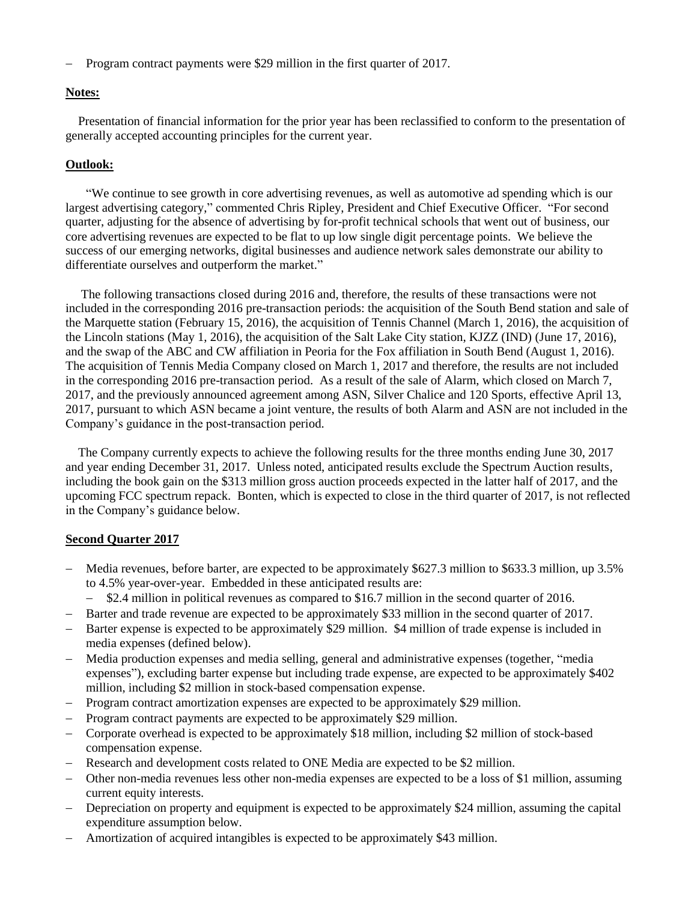- Program contract payments were \$29 million in the first quarter of 2017.

#### **Notes:**

 Presentation of financial information for the prior year has been reclassified to conform to the presentation of generally accepted accounting principles for the current year.

#### **Outlook:**

"We continue to see growth in core advertising revenues, as well as automotive ad spending which is our largest advertising category," commented Chris Ripley, President and Chief Executive Officer. "For second quarter, adjusting for the absence of advertising by for-profit technical schools that went out of business, our core advertising revenues are expected to be flat to up low single digit percentage points. We believe the success of our emerging networks, digital businesses and audience network sales demonstrate our ability to differentiate ourselves and outperform the market."

The following transactions closed during 2016 and, therefore, the results of these transactions were not included in the corresponding 2016 pre-transaction periods: the acquisition of the South Bend station and sale of the Marquette station (February 15, 2016), the acquisition of Tennis Channel (March 1, 2016), the acquisition of the Lincoln stations (May 1, 2016), the acquisition of the Salt Lake City station, KJZZ (IND) (June 17, 2016), and the swap of the ABC and CW affiliation in Peoria for the Fox affiliation in South Bend (August 1, 2016). The acquisition of Tennis Media Company closed on March 1, 2017 and therefore, the results are not included in the corresponding 2016 pre-transaction period. As a result of the sale of Alarm, which closed on March 7, 2017, and the previously announced agreement among ASN, Silver Chalice and 120 Sports, effective April 13, 2017, pursuant to which ASN became a joint venture, the results of both Alarm and ASN are not included in the Company's guidance in the post-transaction period.

 The Company currently expects to achieve the following results for the three months ending June 30, 2017 and year ending December 31, 2017. Unless noted, anticipated results exclude the Spectrum Auction results, including the book gain on the \$313 million gross auction proceeds expected in the latter half of 2017, and the upcoming FCC spectrum repack. Bonten, which is expected to close in the third quarter of 2017, is not reflected in the Company's guidance below.

#### **Second Quarter 2017**

- Media revenues, before barter, are expected to be approximately \$627.3 million to \$633.3 million, up 3.5% to 4.5% year-over-year. Embedded in these anticipated results are:
	- $-$  \$2.4 million in political revenues as compared to \$16.7 million in the second quarter of 2016.
- Barter and trade revenue are expected to be approximately \$33 million in the second quarter of 2017.
- Barter expense is expected to be approximately \$29 million. \$4 million of trade expense is included in media expenses (defined below).
- Media production expenses and media selling, general and administrative expenses (together, "media expenses"), excluding barter expense but including trade expense, are expected to be approximately \$402 million, including \$2 million in stock-based compensation expense.
- Program contract amortization expenses are expected to be approximately \$29 million.
- Program contract payments are expected to be approximately \$29 million.
- Corporate overhead is expected to be approximately \$18 million, including \$2 million of stock-based compensation expense.
- Research and development costs related to ONE Media are expected to be \$2 million.
- Other non-media revenues less other non-media expenses are expected to be a loss of \$1 million, assuming current equity interests.
- Depreciation on property and equipment is expected to be approximately \$24 million, assuming the capital expenditure assumption below.
- Amortization of acquired intangibles is expected to be approximately \$43 million.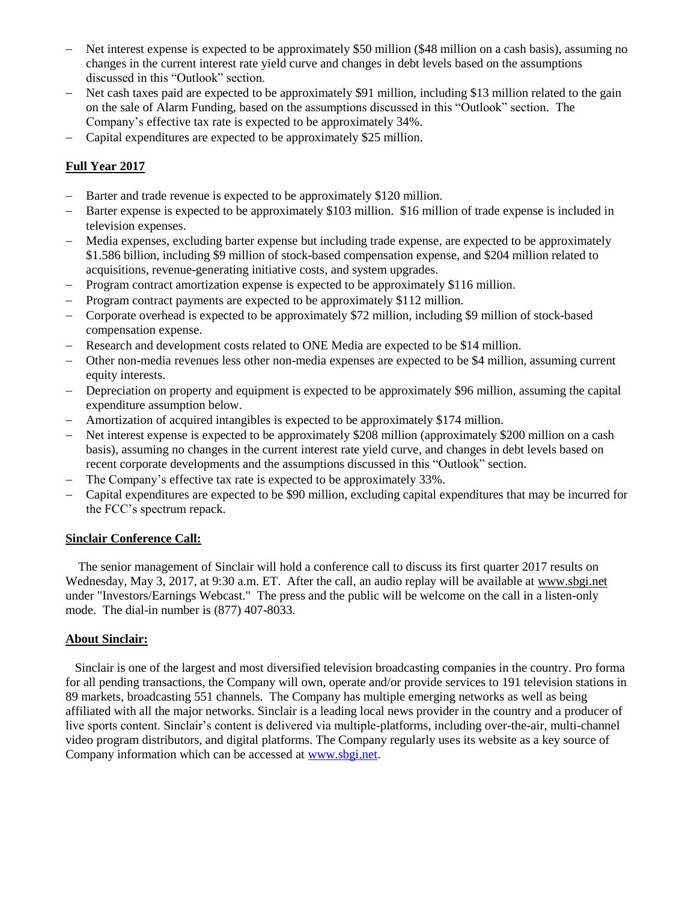- Net interest expense is expected to be approximately \$50 million (\$48 million on a cash basis), assuming no changes in the current interest rate yield curve and changes in debt levels based on the assumptions discussed in this "Outlook" section.
- Net cash taxes paid are expected to be approximately \$91 million, including \$13 million related to the gain on the sale of Alarm Funding, based on the assumptions discussed in this "Outlook" section. The Company's effective tax rate is expected to be approximately 34%.
- Capital expenditures are expected to be approximately \$25 million.

## **Full Year 2017**

- Barter and trade revenue is expected to be approximately \$120 million.
- Barter expense is expected to be approximately \$103 million. \$16 million of trade expense is included in television expenses.
- Media expenses, excluding barter expense but including trade expense, are expected to be approximately \$1.586 billion, including \$9 million of stock-based compensation expense, and \$204 million related to acquisitions, revenue-generating initiative costs, and system upgrades.
- Program contract amortization expense is expected to be approximately \$116 million.
- Program contract payments are expected to be approximately \$112 million.
- Corporate overhead is expected to be approximately \$72 million, including \$9 million of stock-based compensation expense.
- Research and development costs related to ONE Media are expected to be \$14 million.
- Other non-media revenues less other non-media expenses are expected to be \$4 million, assuming current equity interests.
- Depreciation on property and equipment is expected to be approximately \$96 million, assuming the capital expenditure assumption below.
- Amortization of acquired intangibles is expected to be approximately \$174 million.
- Net interest expense is expected to be approximately \$208 million (approximately \$200 million on a cash basis), assuming no changes in the current interest rate yield curve, and changes in debt levels based on recent corporate developments and the assumptions discussed in this "Outlook" section.
- The Company's effective tax rate is expected to be approximately 33%.
- Capital expenditures are expected to be \$90 million, excluding capital expenditures that may be incurred for the FCC's spectrum repack.

#### **Sinclair Conference Call:**

 The senior management of Sinclair will hold a conference call to discuss its first quarter 2017 results on Wednesday, May 3, 2017, at 9:30 a.m. ET. After the call, an audio replay will be available at www.sbgi.net under "Investors/Earnings Webcast." The press and the public will be welcome on the call in a listen-only mode. The dial-in number is  $(877)$  407-8033.

#### **About Sinclair:**

 Sinclair is one of the largest and most diversified television broadcasting companies in the country. Pro forma for all pending transactions, the Company will own, operate and/or provide services to 191 television stations in 89 markets, broadcasting 551 channels. The Company has multiple emerging networks as well as being affiliated with all the major networks. Sinclair is a leading local news provider in the country and a producer of live sports content. Sinclair's content is delivered via multiple-platforms, including over-the-air, multi-channel video program distributors, and digital platforms. The Company regularly uses its website as a key source of Company information which can be accessed at [www.sbgi.net.](http://www.sbgi.net/)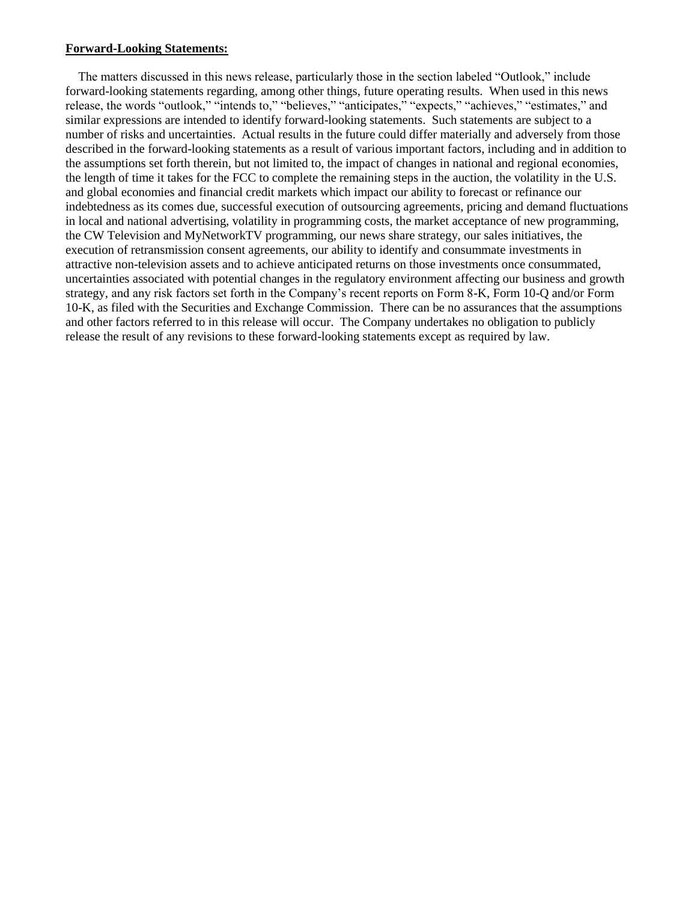#### **Forward-Looking Statements:**

The matters discussed in this news release, particularly those in the section labeled "Outlook," include forward-looking statements regarding, among other things, future operating results. When used in this news release, the words "outlook," "intends to," "believes," "anticipates," "expects," "achieves," "estimates," and similar expressions are intended to identify forward-looking statements. Such statements are subject to a number of risks and uncertainties. Actual results in the future could differ materially and adversely from those described in the forward-looking statements as a result of various important factors, including and in addition to the assumptions set forth therein, but not limited to, the impact of changes in national and regional economies, the length of time it takes for the FCC to complete the remaining steps in the auction, the volatility in the U.S. and global economies and financial credit markets which impact our ability to forecast or refinance our indebtedness as its comes due, successful execution of outsourcing agreements, pricing and demand fluctuations in local and national advertising, volatility in programming costs, the market acceptance of new programming, the CW Television and MyNetworkTV programming, our news share strategy, our sales initiatives, the execution of retransmission consent agreements, our ability to identify and consummate investments in attractive non-television assets and to achieve anticipated returns on those investments once consummated, uncertainties associated with potential changes in the regulatory environment affecting our business and growth strategy, and any risk factors set forth in the Company's recent reports on Form 8-K, Form 10-Q and/or Form 10-K, as filed with the Securities and Exchange Commission. There can be no assurances that the assumptions and other factors referred to in this release will occur. The Company undertakes no obligation to publicly release the result of any revisions to these forward-looking statements except as required by law.